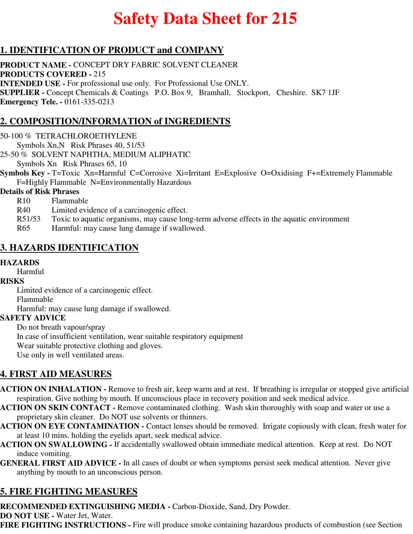# **Safety Data Sheet for 215**

## **1. IDENTIFICATION OF PRODUCT and COMPANY**

**PRODUCT NAME -** CONCEPT DRY FABRIC SOLVENT CLEANER **PRODUCTS COVERED -** 215 **INTENDED USE -** For professional use only. For Professional Use ONLY. **SUPPLIER -** Concept Chemicals & Coatings P.O. Box 9, Bramhall, Stockport, Cheshire. SK7 1JF **Emergency Tele. -** 0161-335-0213

## **2. COMPOSITION/INFORMATION of INGREDIENTS**

#### 50-100 % TETRACHLOROETHYLENE

Symbols Xn,N Risk Phrases 40, 51/53

25-50 % SOLVENT NAPHTHA, MEDIUM ALIPHATIC Symbols Xn Risk Phrases 65, 10

**Symbols Key -** T=Toxic Xn=Harmful C=Corrosive Xi=Irritant E=Explosive O=Oxidising F+=Extremely Flammable F=Highly Flammable N=Environmentally Hazardous

#### **Details of Risk Phrases**

- R10 Flammable
- R40 Limited evidence of a carcinogenic effect.
- R51/53 Toxic to aquatic organisms, may cause long-term adverse effects in the aquatic environment
- R65 Harmful: may cause lung damage if swallowed.

#### **3. HAZARDS IDENTIFICATION**

#### **HAZARDS**

Harmful

#### **RISKS**

Limited evidence of a carcinogenic effect.

Flammable

Harmful: may cause lung damage if swallowed.

#### **SAFETY ADVICE**

Do not breath vapour/spray

In case of insufficient ventilation, wear suitable respiratory equipment

Wear suitable protective clothing and gloves.

Use only in well ventilated areas.

### **4. FIRST AID MEASURES**

- **ACTION ON INHALATION** Remove to fresh air, keep warm and at rest. If breathing is irregular or stopped give artificial respiration. Give nothing by mouth. If unconscious place in recovery position and seek medical advice.
- **ACTION ON SKIN CONTACT** Remove contaminated clothing. Wash skin thoroughly with soap and water or use a proprietary skin cleaner. Do NOT use solvents or thinners.
- **ACTION ON EYE CONTAMINATION** Contact lenses should be removed. Irrigate copiously with clean, fresh water for at least 10 mins. holding the eyelids apart, seek medical advice.
- **ACTION ON SWALLOWING** If accidentally swallowed obtain immediate medical attention. Keep at rest. Do NOT induce vomiting.
- **GENERAL FIRST AID ADVICE** In all cases of doubt or when symptoms persist seek medical attention. Never give anything by mouth to an unconscious person.

# **5. FIRE FIGHTING MEASURES**

**RECOMMENDED EXTINGUISHING MEDIA -** Carbon-Dioxide, Sand, Dry Powder.

**DO NOT USE -** Water Jet, Water.

**FIRE FIGHTING INSTRUCTIONS -** Fire will produce smoke containing hazardous products of combustion (see Section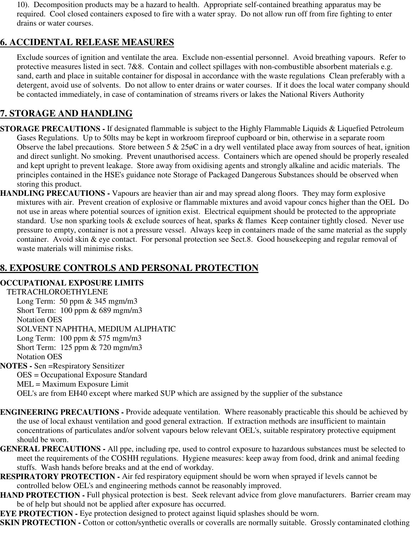10). Decomposition products may be a hazard to health. Appropriate self-contained breathing apparatus may be required. Cool closed containers exposed to fire with a water spray. Do not allow run off from fire fighting to enter drains or water courses.

### **6. ACCIDENTAL RELEASE MEASURES**

Exclude sources of ignition and ventilate the area. Exclude non-essential personnel. Avoid breathing vapours. Refer to protective measures listed in sect. 7&8. Contain and collect spillages with non-combustible absorbent materials e.g. sand, earth and place in suitable container for disposal in accordance with the waste regulations Clean preferably with a detergent, avoid use of solvents. Do not allow to enter drains or water courses. If it does the local water company should be contacted immediately, in case of contamination of streams rivers or lakes the National Rivers Authority

# **7. STORAGE AND HANDLING**

- **STORAGE PRECAUTIONS** If designated flammable is subject to the Highly Flammable Liquids & Liquefied Petroleum Gases Regulations. Up to 50lts may be kept in workroom fireproof cupboard or bin, otherwise in a separate room Observe the label precautions. Store between  $5 \& 25\phi$ C in a dry well ventilated place away from sources of heat, ignition and direct sunlight. No smoking. Prevent unauthorised access. Containers which are opened should be properly resealed and kept upright to prevent leakage. Store away from oxidising agents and strongly alkaline and acidic materials. The principles contained in the HSE's guidance note Storage of Packaged Dangerous Substances should be observed when storing this product.
- **HANDLING PRECAUTIONS** Vapours are heavier than air and may spread along floors. They may form explosive mixtures with air. Prevent creation of explosive or flammable mixtures and avoid vapour concs higher than the OEL Do not use in areas where potential sources of ignition exist. Electrical equipment should be protected to the appropriate standard. Use non sparking tools & exclude sources of heat, sparks & flames Keep container tightly closed. Never use pressure to empty, container is not a pressure vessel. Always keep in containers made of the same material as the supply container. Avoid skin & eye contact. For personal protection see Sect.8. Good housekeeping and regular removal of waste materials will minimise risks.

## **8. EXPOSURE CONTROLS AND PERSONAL PROTECTION**

#### **OCCUPATIONAL EXPOSURE LIMITS**

TETRACHLOROETHYLENE Long Term: 50 ppm & 345 mgm/m3 Short Term: 100 ppm & 689 mgm/m3 Notation OES SOLVENT NAPHTHA, MEDIUM ALIPHATIC Long Term: 100 ppm & 575 mgm/m3 Short Term: 125 ppm & 720 mgm/m3 Notation OES **NOTES -** Sen =Respiratory Sensitizer OES = Occupational Exposure Standard MEL = Maximum Exposure Limit

OEL's are from EH40 except where marked SUP which are assigned by the supplier of the substance

- **ENGINEERING PRECAUTIONS** Provide adequate ventilation. Where reasonably practicable this should be achieved by the use of local exhaust ventilation and good general extraction. If extraction methods are insufficient to maintain concentrations of particulates and/or solvent vapours below relevant OEL's, suitable respiratory protective equipment should be worn.
- **GENERAL PRECAUTIONS** All ppe, including rpe, used to control exposure to hazardous substances must be selected to meet the requirements of the COSHH regulations. Hygiene measures: keep away from food, drink and animal feeding stuffs. Wash hands before breaks and at the end of workday.
- **RESPIRATORY PROTECTION** Air fed respiratory equipment should be worn when sprayed if levels cannot be controlled below OEL's and engineering methods cannot be reasonably improved.
- **HAND PROTECTION Full physical protection is best. Seek relevant advice from glove manufacturers. Barrier cream may** be of help but should not be applied after exposure has occurred.
- **EYE PROTECTION -** Eye protection designed to protect against liquid splashes should be worn.
- **SKIN PROTECTION -** Cotton or cotton/synthetic overalls or coveralls are normally suitable. Grossly contaminated clothing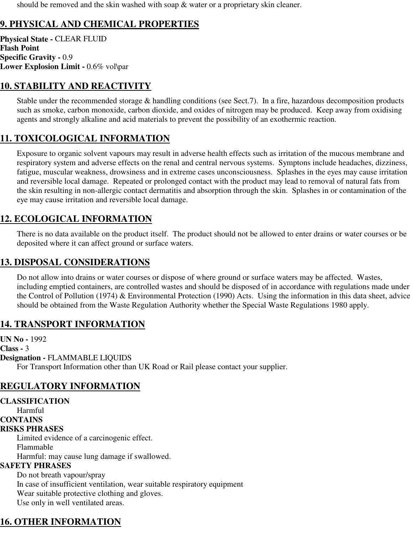should be removed and the skin washed with soap & water or a proprietary skin cleaner.

# **9. PHYSICAL AND CHEMICAL PROPERTIES**

**Physical State -** CLEAR FLUID **Flash Point Specific Gravity -** 0.9 **Lower Explosion Limit -** 0.6% vol\par

### **10. STABILITY AND REACTIVITY**

Stable under the recommended storage & handling conditions (see Sect.7). In a fire, hazardous decomposition products such as smoke, carbon monoxide, carbon dioxide, and oxides of nitrogen may be produced. Keep away from oxidising agents and strongly alkaline and acid materials to prevent the possibility of an exothermic reaction.

## **11. TOXICOLOGICAL INFORMATION**

Exposure to organic solvent vapours may result in adverse health effects such as irritation of the mucous membrane and respiratory system and adverse effects on the renal and central nervous systems. Symptons include headaches, dizziness, fatigue, muscular weakness, drowsiness and in extreme cases unconsciousness. Splashes in the eyes may cause irritation and reversible local damage. Repeated or prolonged contact with the product may lead to removal of natural fats from the skin resulting in non-allergic contact dermatitis and absorption through the skin. Splashes in or contamination of the eye may cause irritation and reversible local damage.

## **12. ECOLOGICAL INFORMATION**

There is no data available on the product itself. The product should not be allowed to enter drains or water courses or be deposited where it can affect ground or surface waters.

#### **13. DISPOSAL CONSIDERATIONS**

Do not allow into drains or water courses or dispose of where ground or surface waters may be affected. Wastes, including emptied containers, are controlled wastes and should be disposed of in accordance with regulations made under the Control of Pollution (1974) & Environmental Protection (1990) Acts. Using the information in this data sheet, advice should be obtained from the Waste Regulation Authority whether the Special Waste Regulations 1980 apply.

#### **14. TRANSPORT INFORMATION**

**UN No -** 1992 **Class -** 3 **Designation -** FLAMMABLE LIQUIDS For Transport Information other than UK Road or Rail please contact your supplier.

### **REGULATORY INFORMATION**

**CLASSIFICATION** Harmful **CONTAINS RISKS PHRASES** Limited evidence of a carcinogenic effect. Flammable Harmful: may cause lung damage if swallowed. **SAFETY PHRASES** Do not breath vapour/spray In case of insufficient ventilation, wear suitable respiratory equipment Wear suitable protective clothing and gloves. Use only in well ventilated areas.

## **16. OTHER INFORMATION**